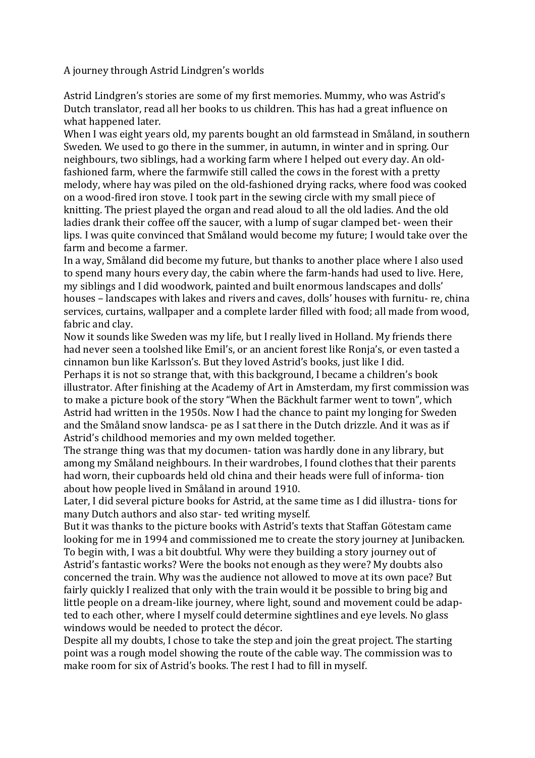A journey through Astrid Lindgren's worlds

Astrid Lindgren's stories are some of my first memories. Mummy, who was Astrid's Dutch translator, read all her books to us children. This has had a great influence on what happened later.

When I was eight years old, my parents bought an old farmstead in Småland, in southern Sweden. We used to go there in the summer, in autumn, in winter and in spring. Our neighbours, two siblings, had a working farm where I helped out every day. An oldfashioned farm, where the farmwife still called the cows in the forest with a pretty melody, where hay was piled on the old-fashioned drying racks, where food was cooked on a wood-fired iron stove. I took part in the sewing circle with my small piece of knitting. The priest played the organ and read aloud to all the old ladies. And the old ladies drank their coffee off the saucer, with a lump of sugar clamped bet-ween their lips. I was quite convinced that Småland would become my future; I would take over the farm and become a farmer.

In a way, Småland did become my future, but thanks to another place where I also used to spend many hours every day, the cabin where the farm-hands had used to live. Here, my siblings and I did woodwork, painted and built enormous landscapes and dolls' houses – landscapes with lakes and rivers and caves, dolls' houses with furnitu- re, china services, curtains, wallpaper and a complete larder filled with food; all made from wood, fabric and clay.

Now it sounds like Sweden was my life, but I really lived in Holland. My friends there had never seen a toolshed like Emil's, or an ancient forest like Ronja's, or even tasted a cinnamon bun like Karlsson's. But they loved Astrid's books, just like I did.

Perhaps it is not so strange that, with this background, I became a children's book illustrator. After finishing at the Academy of Art in Amsterdam, my first commission was to make a picture book of the story "When the Bäckhult farmer went to town", which Astrid had written in the 1950s. Now I had the chance to paint my longing for Sweden and the Småland snow landsca- pe as I sat there in the Dutch drizzle. And it was as if Astrid's childhood memories and my own melded together.

The strange thing was that my documen-tation was hardly done in any library, but among my Småland neighbours. In their wardrobes, I found clothes that their parents had worn, their cupboards held old china and their heads were full of informa-tion about how people lived in Småland in around 1910.

Later, I did several picture books for Astrid, at the same time as I did illustra-tions for many Dutch authors and also star- ted writing myself.

But it was thanks to the picture books with Astrid's texts that Staffan Götestam came looking for me in 1994 and commissioned me to create the story journey at Junibacken. To begin with, I was a bit doubtful. Why were they building a story journey out of Astrid's fantastic works? Were the books not enough as they were? My doubts also concerned the train. Why was the audience not allowed to move at its own pace? But fairly quickly I realized that only with the train would it be possible to bring big and little people on a dream-like journey, where light, sound and movement could be adapted to each other, where I myself could determine sightlines and eye levels. No glass windows would be needed to protect the décor.

Despite all my doubts, I chose to take the step and join the great project. The starting point was a rough model showing the route of the cable way. The commission was to make room for six of Astrid's books. The rest I had to fill in myself.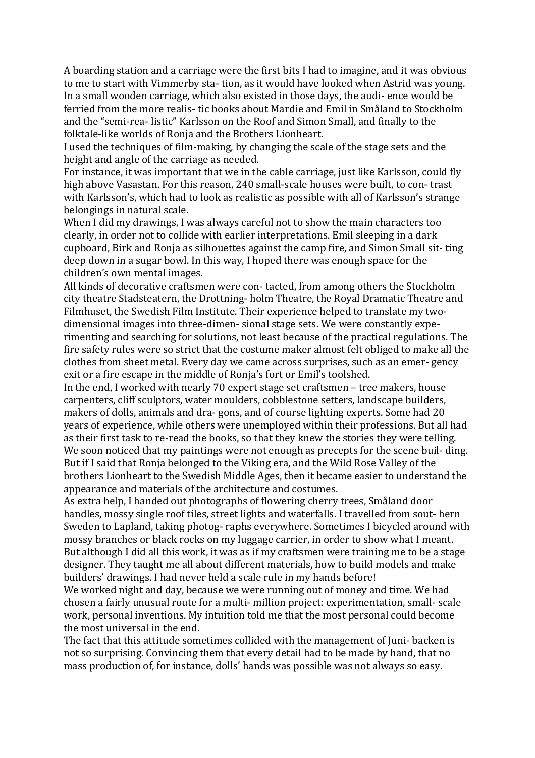A boarding station and a carriage were the first bits I had to imagine, and it was obvious to me to start with Vimmerby sta-tion, as it would have looked when Astrid was young. In a small wooden carriage, which also existed in those days, the audi- ence would be ferried from the more realis- tic books about Mardie and Emil in Småland to Stockholm and the "semi-rea- listic" Karlsson on the Roof and Simon Small, and finally to the folktale-like worlds of Ronia and the Brothers Lionheart.

I used the techniques of film-making, by changing the scale of the stage sets and the height and angle of the carriage as needed.

For instance, it was important that we in the cable carriage, just like Karlsson, could fly high above Vasastan. For this reason, 240 small-scale houses were built, to con-trast with Karlsson's, which had to look as realistic as possible with all of Karlsson's strange belongings in natural scale.

When I did my drawings, I was always careful not to show the main characters too clearly, in order not to collide with earlier interpretations. Emil sleeping in a dark cupboard, Birk and Ronja as silhouettes against the camp fire, and Simon Small sit-ting" deep down in a sugar bowl. In this way, I hoped there was enough space for the children's own mental images.

All kinds of decorative craftsmen were con-tacted, from among others the Stockholm city theatre Stadsteatern, the Drottning- holm Theatre, the Royal Dramatic Theatre and Filmhuset, the Swedish Film Institute. Their experience helped to translate my twodimensional images into three-dimen-sional stage sets. We were constantly experimenting and searching for solutions, not least because of the practical regulations. The fire safety rules were so strict that the costume maker almost felt obliged to make all the clothes from sheet metal. Every day we came across surprises, such as an emer-gency exit or a fire escape in the middle of Ronja's fort or Emil's toolshed.

In the end, I worked with nearly 70 expert stage set craftsmen – tree makers, house carpenters, cliff sculptors, water moulders, cobblestone setters, landscape builders, makers of dolls, animals and dra-gons, and of course lighting experts. Some had 20" years of experience, while others were unemployed within their professions. But all had as their first task to re-read the books, so that they knew the stories they were telling. We soon noticed that my paintings were not enough as precepts for the scene buil-ding. But if I said that Ronja belonged to the Viking era, and the Wild Rose Valley of the brothers Lionheart to the Swedish Middle Ages, then it became easier to understand the appearance and materials of the architecture and costumes.

As extra help, I handed out photographs of flowering cherry trees, Småland door handles, mossy single roof tiles, street lights and waterfalls. I travelled from sout- hern Sweden to Lapland, taking photog-raphs everywhere. Sometimes I bicycled around with mossy branches or black rocks on my luggage carrier, in order to show what I meant. But although I did all this work, it was as if my craftsmen were training me to be a stage designer. They taught me all about different materials, how to build models and make builders' drawings. I had never held a scale rule in my hands before!

We worked night and day, because we were running out of money and time. We had chosen a fairly unusual route for a multi- million project: experimentation, small- scale work, personal inventions. My intuition told me that the most personal could become the most universal in the end.

The fact that this attitude sometimes collided with the management of Juni- backen is" not so surprising. Convincing them that every detail had to be made by hand, that no mass production of, for instance, dolls' hands was possible was not always so easy.